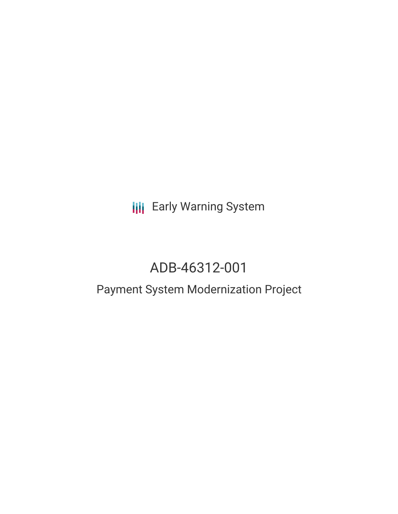**III** Early Warning System

# ADB-46312-001

## Payment System Modernization Project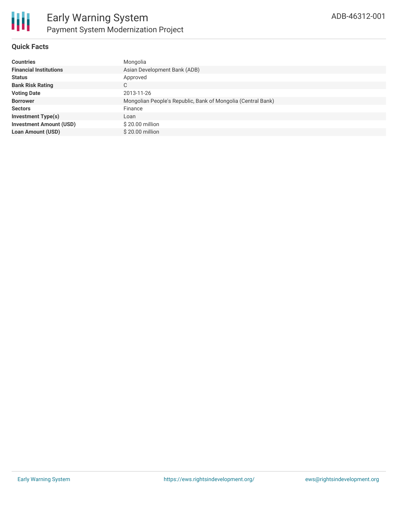

#### **Quick Facts**

| <b>Countries</b>               | Mongolia                                                     |
|--------------------------------|--------------------------------------------------------------|
| <b>Financial Institutions</b>  | Asian Development Bank (ADB)                                 |
| <b>Status</b>                  | Approved                                                     |
| <b>Bank Risk Rating</b>        | C                                                            |
| <b>Voting Date</b>             | 2013-11-26                                                   |
| <b>Borrower</b>                | Mongolian People's Republic, Bank of Mongolia (Central Bank) |
| <b>Sectors</b>                 | Finance                                                      |
| <b>Investment Type(s)</b>      | Loan                                                         |
| <b>Investment Amount (USD)</b> | \$20.00 million                                              |
| <b>Loan Amount (USD)</b>       | \$20,00 million                                              |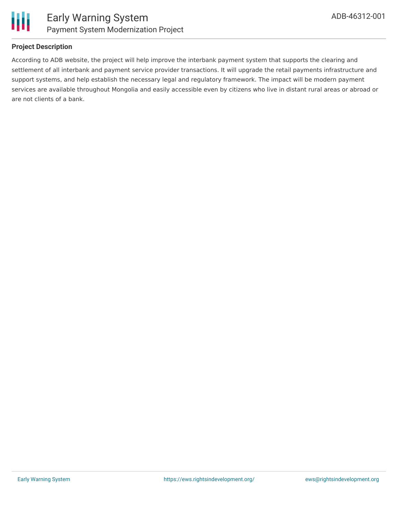

#### **Project Description**

According to ADB website, the project will help improve the interbank payment system that supports the clearing and settlement of all interbank and payment service provider transactions. It will upgrade the retail payments infrastructure and support systems, and help establish the necessary legal and regulatory framework. The impact will be modern payment services are available throughout Mongolia and easily accessible even by citizens who live in distant rural areas or abroad or are not clients of a bank.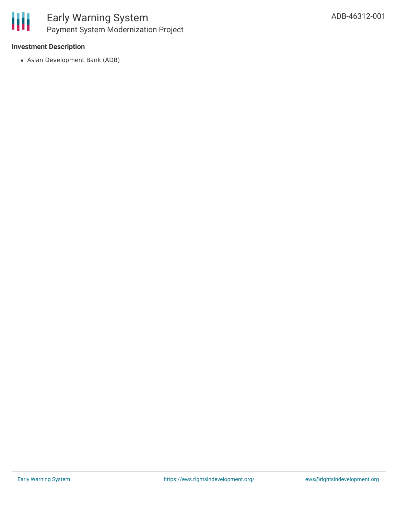

#### **Investment Description**

Asian Development Bank (ADB)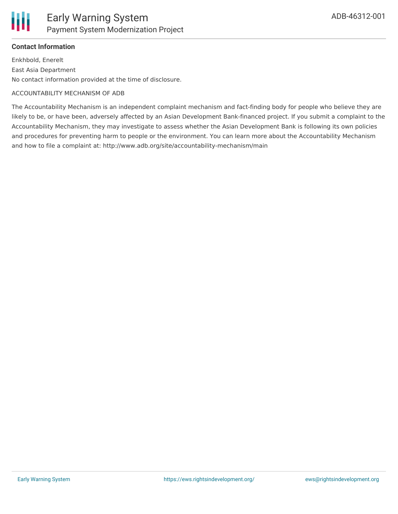

#### **Contact Information**

Enkhbold, Enerelt East Asia Department No contact information provided at the time of disclosure.

#### ACCOUNTABILITY MECHANISM OF ADB

The Accountability Mechanism is an independent complaint mechanism and fact-finding body for people who believe they are likely to be, or have been, adversely affected by an Asian Development Bank-financed project. If you submit a complaint to the Accountability Mechanism, they may investigate to assess whether the Asian Development Bank is following its own policies and procedures for preventing harm to people or the environment. You can learn more about the Accountability Mechanism and how to file a complaint at: http://www.adb.org/site/accountability-mechanism/main